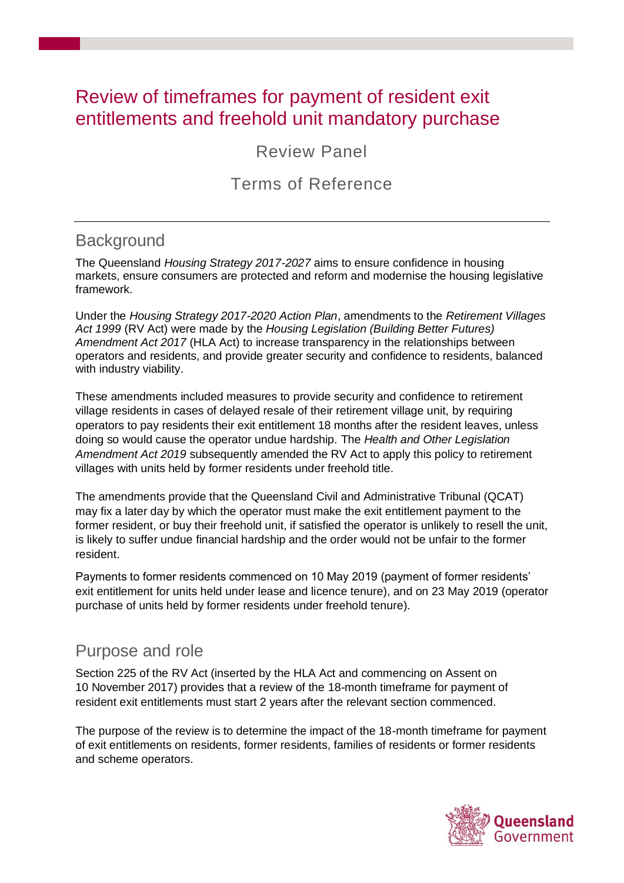# Review of timeframes for payment of resident exit entitlements and freehold unit mandatory purchase

Review Panel

## Terms of Reference

### **Background**

The Queensland *Housing Strategy 2017-2027* aims to ensure confidence in housing markets, ensure consumers are protected and reform and modernise the housing legislative framework.

Under the *Housing Strategy 2017-2020 Action Plan*, amendments to the *Retirement Villages Act 1999* (RV Act) were made by the *Housing Legislation (Building Better Futures) Amendment Act 2017* (HLA Act) to increase transparency in the relationships between operators and residents, and provide greater security and confidence to residents, balanced with industry viability.

These amendments included measures to provide security and confidence to retirement village residents in cases of delayed resale of their retirement village unit, by requiring operators to pay residents their exit entitlement 18 months after the resident leaves, unless doing so would cause the operator undue hardship. The *Health and Other Legislation Amendment Act 2019* subsequently amended the RV Act to apply this policy to retirement villages with units held by former residents under freehold title.

The amendments provide that the Queensland Civil and Administrative Tribunal (QCAT) may fix a later day by which the operator must make the exit entitlement payment to the former resident, or buy their freehold unit, if satisfied the operator is unlikely to resell the unit, is likely to suffer undue financial hardship and the order would not be unfair to the former resident.

Payments to former residents commenced on 10 May 2019 (payment of former residents' exit entitlement for units held under lease and licence tenure), and on 23 May 2019 (operator purchase of units held by former residents under freehold tenure).

### Purpose and role

Section 225 of the RV Act (inserted by the HLA Act and commencing on Assent on 10 November 2017) provides that a review of the 18-month timeframe for payment of resident exit entitlements must start 2 years after the relevant section commenced.

The purpose of the review is to determine the impact of the 18-month timeframe for payment of exit entitlements on residents, former residents, families of residents or former residents and scheme operators.